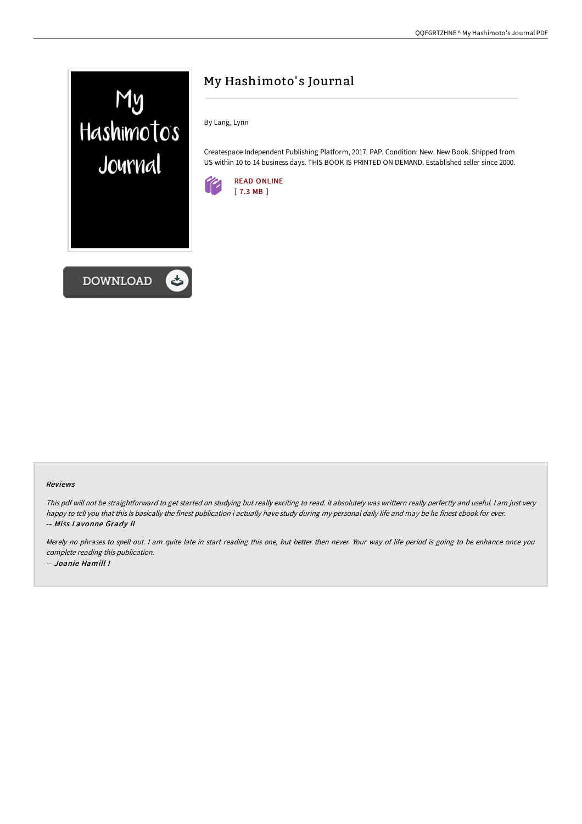

**DOWNLOAD** 



By Lang, Lynn

Createspace Independent Publishing Platform, 2017. PAP. Condition: New. New Book. Shipped from US within 10 to 14 business days. THIS BOOK IS PRINTED ON DEMAND. Established seller since 2000.



## Reviews

This pdf will not be straightforward to get started on studying but really exciting to read. it absolutely was writtern really perfectly and useful. <sup>I</sup> am just very happy to tell you that this is basically the finest publication i actually have study during my personal daily life and may be he finest ebook for ever. -- Miss Lavonne Grady II

Merely no phrases to spell out. <sup>I</sup> am quite late in start reading this one, but better then never. Your way of life period is going to be enhance once you complete reading this publication. -- Joanie Hamill I